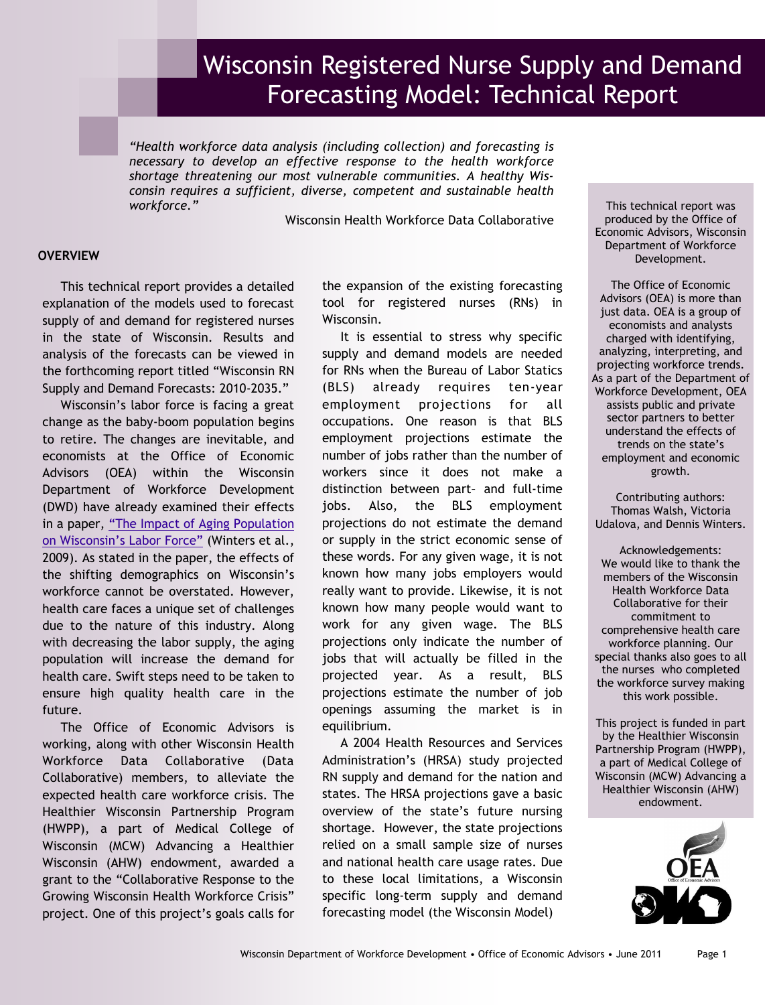# Wisconsin Registered Nurse Supply and Demand Forecasting Model: Technical Report

*"Health workforce data analysis (including collection) and forecasting is necessary to develop an effective response to the health workforce shortage threatening our most vulnerable communities. A healthy Wisconsin requires a sufficient, diverse, competent and sustainable health workforce."*

Wisconsin Health Workforce Data Collaborative

#### **OVERVIEW**

This technical report provides a detailed explanation of the models used to forecast supply of and demand for registered nurses in the state of Wisconsin. Results and analysis of the forecasts can be viewed in the forthcoming report titled "Wisconsin RN Supply and Demand Forecasts: 2010-2035."

Wisconsin's labor force is facing a great change as the baby-boom population begins to retire. The changes are inevitable, and economists at the Office of Economic Advisors (OEA) within the Wisconsin Department of Workforce Development (DWD) have already examined their effects in a paper, "The Impact of Aging Population on Wisconsin's Labor Force" (Winters et al., 2009). As stated in the paper, the effects of the shifting demographics on Wisconsin's workforce cannot be overstated. However, health care faces a unique set of challenges due to the nature of this industry. Along with decreasing the labor supply, the aging population will increase the demand for health care. Swift steps need to be taken to ensure high quality health care in the future.

The Office of Economic Advisors is working, along with other Wisconsin Health Workforce Data Collaborative (Data Collaborative) members, to alleviate the expected health care workforce crisis. The Healthier Wisconsin Partnership Program (HWPP), a part of Medical College of Wisconsin (MCW) Advancing a Healthier Wisconsin (AHW) endowment, awarded a grant to the "Collaborative Response to the Growing Wisconsin Health Workforce Crisis" project. One of this project's goals calls for the expansion of the existing forecasting tool for registered nurses (RNs) in Wisconsin.

It is essential to stress why specific supply and demand models are needed for RNs when the Bureau of Labor Statics (BLS) already requires ten-year employment projections for all occupations. One reason is that BLS employment projections estimate the number of jobs rather than the number of workers since it does not make a distinction between part– and full-time jobs. Also, the BLS employment projections do not estimate the demand or supply in the strict economic sense of these words. For any given wage, it is not known how many jobs employers would really want to provide. Likewise, it is not known how many people would want to work for any given wage. The BLS projections only indicate the number of jobs that will actually be filled in the projected year. As a result, BLS projections estimate the number of job openings assuming the market is in equilibrium.

A 2004 Health Resources and Services Administration's (HRSA) study projected RN supply and demand for the nation and states. The HRSA projections gave a basic overview of the state's future nursing shortage. However, the state projections relied on a small sample size of nurses and national health care usage rates. Due to these local limitations, a Wisconsin specific long-term supply and demand forecasting model (the Wisconsin Model)

This technical report was produced by the Office of Economic Advisors, Wisconsin Department of Workforce Development.

The Office of Economic Advisors (OEA) is more than just data. OEA is a group of economists and analysts charged with identifying, analyzing, interpreting, and projecting workforce trends. As a part of the Department of Workforce Development, OEA assists public and private sector partners to better understand the effects of trends on the state's employment and economic growth.

Contributing authors: Thomas Walsh, Victoria Udalova, and Dennis Winters.

Acknowledgements: We would like to thank the members of the Wisconsin Health Workforce Data Collaborative for their commitment to comprehensive health care workforce planning. Our special thanks also goes to all the nurses who completed the workforce survey making this work possible.

This project is funded in part by the Healthier Wisconsin Partnership Program (HWPP), a part of Medical College of Wisconsin (MCW) Advancing a Healthier Wisconsin (AHW) endowment.

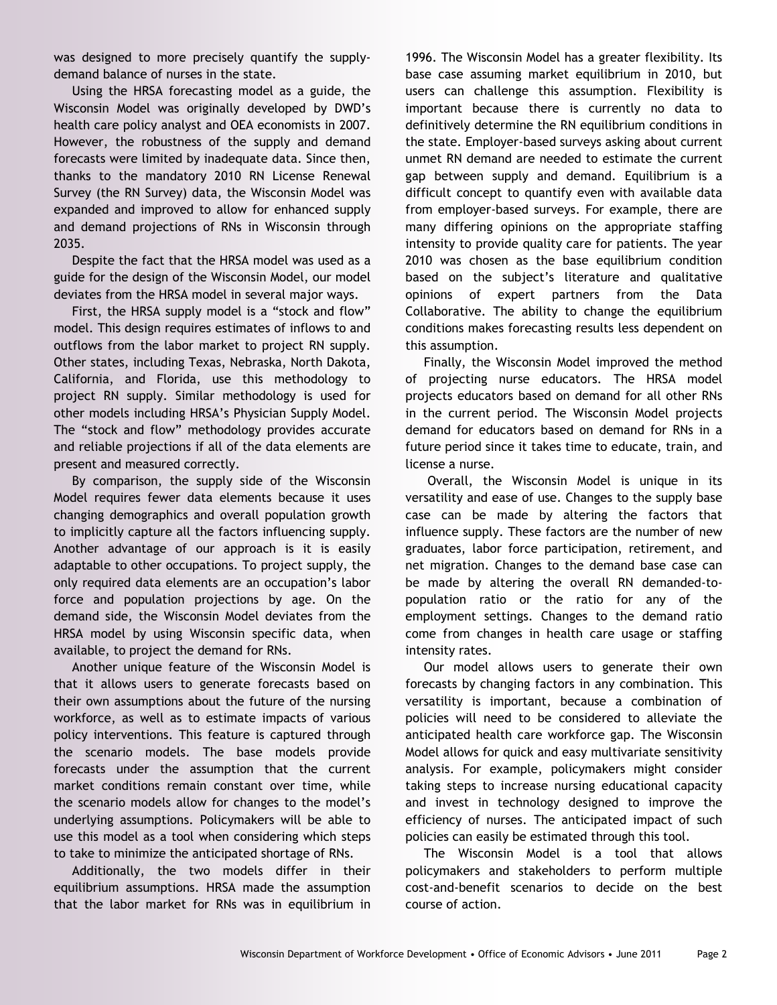was designed to more precisely quantify the supplydemand balance of nurses in the state.

Using the HRSA forecasting model as a guide, the Wisconsin Model was originally developed by DWD's health care policy analyst and OEA economists in 2007. However, the robustness of the supply and demand forecasts were limited by inadequate data. Since then, thanks to the mandatory 2010 RN License Renewal Survey (the RN Survey) data, the Wisconsin Model was expanded and improved to allow for enhanced supply and demand projections of RNs in Wisconsin through 2035.

Despite the fact that the HRSA model was used as a guide for the design of the Wisconsin Model, our model deviates from the HRSA model in several major ways.

First, the HRSA supply model is a "stock and flow" model. This design requires estimates of inflows to and outflows from the labor market to project RN supply. Other states, including Texas, Nebraska, North Dakota, California, and Florida, use this methodology to project RN supply. Similar methodology is used for other models including HRSA's Physician Supply Model. The "stock and flow" methodology provides accurate and reliable projections if all of the data elements are present and measured correctly.

By comparison, the supply side of the Wisconsin Model requires fewer data elements because it uses changing demographics and overall population growth to implicitly capture all the factors influencing supply. Another advantage of our approach is it is easily adaptable to other occupations. To project supply, the only required data elements are an occupation's labor force and population projections by age. On the demand side, the Wisconsin Model deviates from the HRSA model by using Wisconsin specific data, when available, to project the demand for RNs.

Another unique feature of the Wisconsin Model is that it allows users to generate forecasts based on their own assumptions about the future of the nursing workforce, as well as to estimate impacts of various policy interventions. This feature is captured through the scenario models. The base models provide forecasts under the assumption that the current market conditions remain constant over time, while the scenario models allow for changes to the model's underlying assumptions. Policymakers will be able to use this model as a tool when considering which steps to take to minimize the anticipated shortage of RNs.

Additionally, the two models differ in their equilibrium assumptions. HRSA made the assumption that the labor market for RNs was in equilibrium in

1996. The Wisconsin Model has a greater flexibility. Its base case assuming market equilibrium in 2010, but users can challenge this assumption. Flexibility is important because there is currently no data to definitively determine the RN equilibrium conditions in the state. Employer-based surveys asking about current unmet RN demand are needed to estimate the current gap between supply and demand. Equilibrium is a difficult concept to quantify even with available data from employer-based surveys. For example, there are many differing opinions on the appropriate staffing intensity to provide quality care for patients. The year 2010 was chosen as the base equilibrium condition based on the subject's literature and qualitative opinions of expert partners from the Data Collaborative. The ability to change the equilibrium conditions makes forecasting results less dependent on this assumption.

Finally, the Wisconsin Model improved the method of projecting nurse educators. The HRSA model projects educators based on demand for all other RNs in the current period. The Wisconsin Model projects demand for educators based on demand for RNs in a future period since it takes time to educate, train, and license a nurse.

Overall, the Wisconsin Model is unique in its versatility and ease of use. Changes to the supply base case can be made by altering the factors that influence supply. These factors are the number of new graduates, labor force participation, retirement, and net migration. Changes to the demand base case can be made by altering the overall RN demanded-topopulation ratio or the ratio for any of the employment settings. Changes to the demand ratio come from changes in health care usage or staffing intensity rates.

Our model allows users to generate their own forecasts by changing factors in any combination. This versatility is important, because a combination of policies will need to be considered to alleviate the anticipated health care workforce gap. The Wisconsin Model allows for quick and easy multivariate sensitivity analysis. For example, policymakers might consider taking steps to increase nursing educational capacity and invest in technology designed to improve the efficiency of nurses. The anticipated impact of such policies can easily be estimated through this tool.

The Wisconsin Model is a tool that allows policymakers and stakeholders to perform multiple cost-and-benefit scenarios to decide on the best course of action.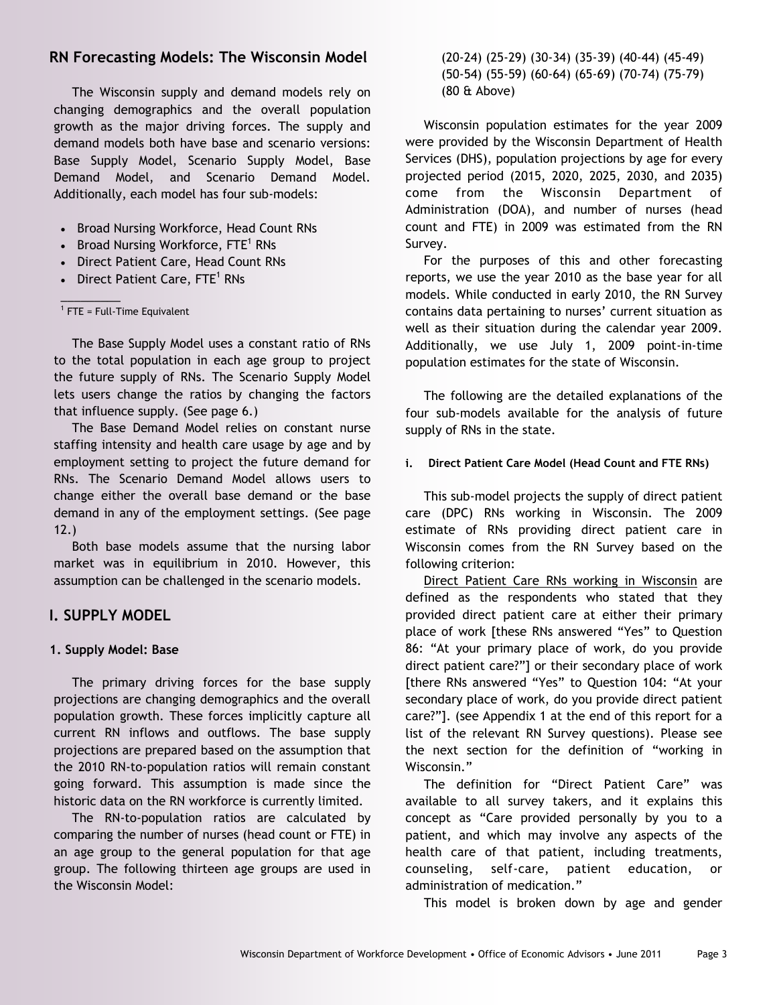# **RN Forecasting Models: The Wisconsin Model**

The Wisconsin supply and demand models rely on changing demographics and the overall population growth as the major driving forces. The supply and demand models both have base and scenario versions: Base Supply Model, Scenario Supply Model, Base Demand Model, and Scenario Demand Model. Additionally, each model has four sub-models:

- Broad Nursing Workforce, Head Count RNs
- Broad Nursing Workforce, FTE<sup>1</sup> RNs
- Direct Patient Care, Head Count RNs
- Direct Patient Care, FTE<sup>1</sup> RNs

<sup>1</sup> FTE = Full-Time Equivalent

 $\frac{1}{2}$  . The set of  $\frac{1}{2}$ 

The Base Supply Model uses a constant ratio of RNs to the total population in each age group to project the future supply of RNs. The Scenario Supply Model lets users change the ratios by changing the factors that influence supply. (See page 6.)

The Base Demand Model relies on constant nurse staffing intensity and health care usage by age and by employment setting to project the future demand for RNs. The Scenario Demand Model allows users to change either the overall base demand or the base demand in any of the employment settings. (See page 12.)

Both base models assume that the nursing labor market was in equilibrium in 2010. However, this assumption can be challenged in the scenario models.

## **I. SUPPLY MODEL**

#### **1. Supply Model: Base**

The primary driving forces for the base supply projections are changing demographics and the overall population growth. These forces implicitly capture all current RN inflows and outflows. The base supply projections are prepared based on the assumption that the 2010 RN-to-population ratios will remain constant going forward. This assumption is made since the historic data on the RN workforce is currently limited.

The RN-to-population ratios are calculated by comparing the number of nurses (head count or FTE) in an age group to the general population for that age group. The following thirteen age groups are used in the Wisconsin Model:

(20-24) (25-29) (30-34) (35-39) (40-44) (45-49) (50-54) (55-59) (60-64) (65-69) (70-74) (75-79) (80 & Above)

Wisconsin population estimates for the year 2009 were provided by the Wisconsin Department of Health Services (DHS), population projections by age for every projected period (2015, 2020, 2025, 2030, and 2035) come from the Wisconsin Department of Administration (DOA), and number of nurses (head count and FTE) in 2009 was estimated from the RN Survey.

For the purposes of this and other forecasting reports, we use the year 2010 as the base year for all models. While conducted in early 2010, the RN Survey contains data pertaining to nurses' current situation as well as their situation during the calendar year 2009. Additionally, we use July 1, 2009 point-in-time population estimates for the state of Wisconsin.

The following are the detailed explanations of the four sub-models available for the analysis of future supply of RNs in the state.

#### **i. Direct Patient Care Model (Head Count and FTE RNs)**

This sub-model projects the supply of direct patient care (DPC) RNs working in Wisconsin. The 2009 estimate of RNs providing direct patient care in Wisconsin comes from the RN Survey based on the following criterion:

Direct Patient Care RNs working in Wisconsin are defined as the respondents who stated that they provided direct patient care at either their primary place of work [these RNs answered "Yes" to Question 86: "At your primary place of work, do you provide direct patient care?"] or their secondary place of work [there RNs answered "Yes" to Question 104: "At your secondary place of work, do you provide direct patient care?‖]. (see Appendix 1 at the end of this report for a list of the relevant RN Survey questions). Please see the next section for the definition of "working in Wisconsin."

The definition for "Direct Patient Care" was available to all survey takers, and it explains this concept as "Care provided personally by you to a patient, and which may involve any aspects of the health care of that patient, including treatments, counseling, self-care, patient education, or administration of medication."

This model is broken down by age and gender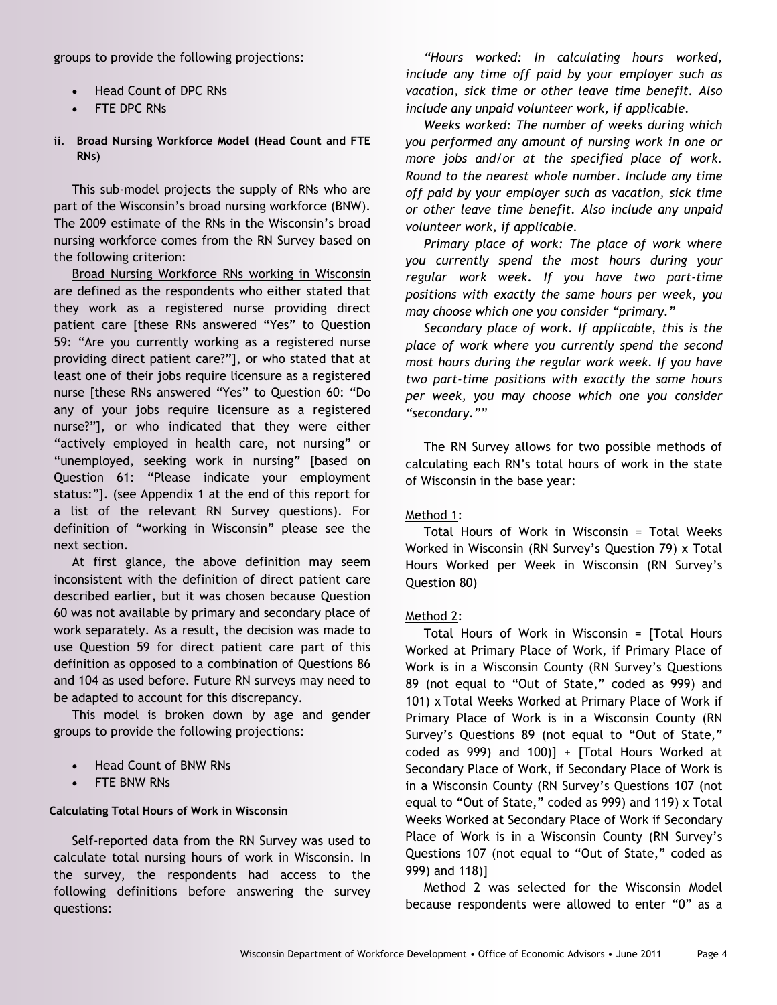groups to provide the following projections:

- Head Count of DPC RNs
- FTE DPC RNs
- **ii. Broad Nursing Workforce Model (Head Count and FTE RNs)**

This sub-model projects the supply of RNs who are part of the Wisconsin's broad nursing workforce (BNW). The 2009 estimate of the RNs in the Wisconsin's broad nursing workforce comes from the RN Survey based on the following criterion:

Broad Nursing Workforce RNs working in Wisconsin are defined as the respondents who either stated that they work as a registered nurse providing direct patient care [these RNs answered "Yes" to Question 59: "Are you currently working as a registered nurse providing direct patient care?‖], or who stated that at least one of their jobs require licensure as a registered nurse [these RNs answered "Yes" to Question 60: "Do any of your jobs require licensure as a registered nurse?‖], or who indicated that they were either "actively employed in health care, not nursing" or "unemployed, seeking work in nursing" [based on Question 61: "Please indicate your employment status:‖]. (see Appendix 1 at the end of this report for a list of the relevant RN Survey questions). For definition of "working in Wisconsin" please see the next section.

At first glance, the above definition may seem inconsistent with the definition of direct patient care described earlier, but it was chosen because Question 60 was not available by primary and secondary place of work separately. As a result, the decision was made to use Question 59 for direct patient care part of this definition as opposed to a combination of Questions 86 and 104 as used before. Future RN surveys may need to be adapted to account for this discrepancy.

This model is broken down by age and gender groups to provide the following projections:

- Head Count of BNW RNs
- FTE BNW RNs

#### **Calculating Total Hours of Work in Wisconsin**

Self-reported data from the RN Survey was used to calculate total nursing hours of work in Wisconsin. In the survey, the respondents had access to the following definitions before answering the survey questions:

*"Hours worked: In calculating hours worked, include any time off paid by your employer such as vacation, sick time or other leave time benefit. Also include any unpaid volunteer work, if applicable.* 

*Weeks worked: The number of weeks during which you performed any amount of nursing work in one or more jobs and/or at the specified place of work. Round to the nearest whole number. Include any time off paid by your employer such as vacation, sick time or other leave time benefit. Also include any unpaid volunteer work, if applicable.*

*Primary place of work: The place of work where you currently spend the most hours during your regular work week. If you have two part-time positions with exactly the same hours per week, you may choose which one you consider "primary."* 

*Secondary place of work. If applicable, this is the place of work where you currently spend the second most hours during the regular work week. If you have two part-time positions with exactly the same hours per week, you may choose which one you consider "secondary.""*

The RN Survey allows for two possible methods of calculating each RN's total hours of work in the state of Wisconsin in the base year:

#### Method 1:

Total Hours of Work in Wisconsin = Total Weeks Worked in Wisconsin (RN Survey's Question 79) x Total Hours Worked per Week in Wisconsin (RN Survey's Question 80)

#### Method 2:

Total Hours of Work in Wisconsin = [Total Hours Worked at Primary Place of Work, if Primary Place of Work is in a Wisconsin County (RN Survey's Questions 89 (not equal to "Out of State," coded as 999) and 101) x Total Weeks Worked at Primary Place of Work if Primary Place of Work is in a Wisconsin County (RN Survey's Questions 89 (not equal to "Out of State," coded as 999) and 100)] + [Total Hours Worked at Secondary Place of Work, if Secondary Place of Work is in a Wisconsin County (RN Survey's Questions 107 (not equal to "Out of State," coded as 999) and 119) x Total Weeks Worked at Secondary Place of Work if Secondary Place of Work is in a Wisconsin County (RN Survey's Questions 107 (not equal to "Out of State," coded as 999) and 118)]

Method 2 was selected for the Wisconsin Model because respondents were allowed to enter "0" as a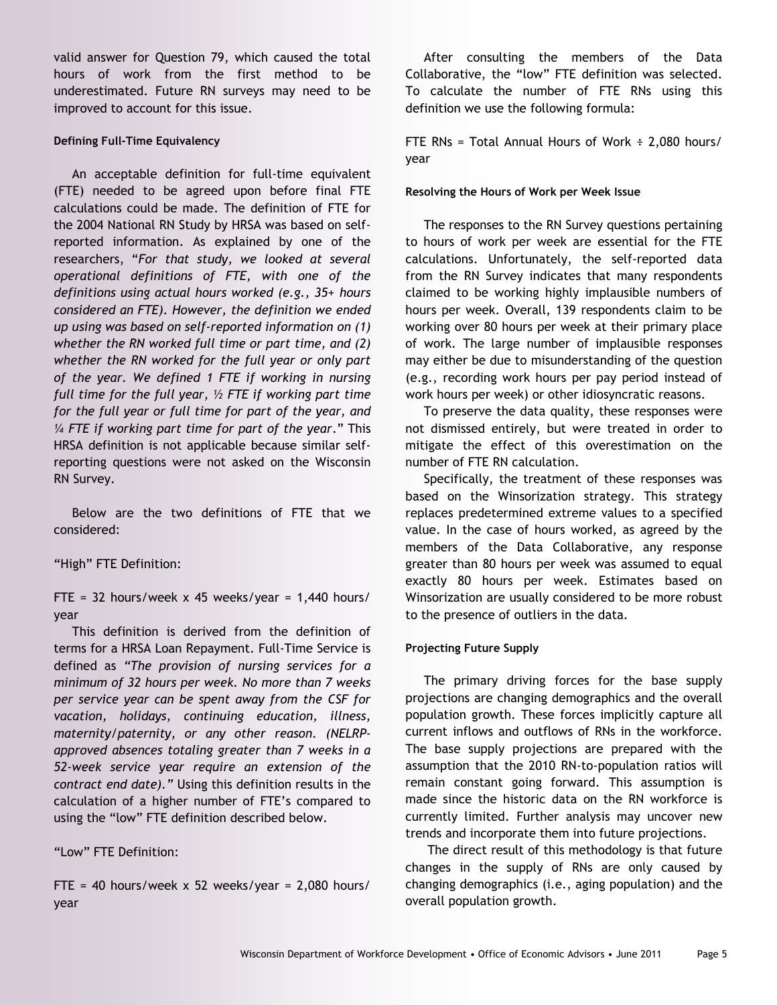valid answer for Question 79, which caused the total hours of work from the first method to be underestimated. Future RN surveys may need to be improved to account for this issue.

#### **Defining Full-Time Equivalency**

An acceptable definition for full-time equivalent (FTE) needed to be agreed upon before final FTE calculations could be made. The definition of FTE for the 2004 National RN Study by HRSA was based on selfreported information. As explained by one of the researchers, ―*For that study, we looked at several operational definitions of FTE, with one of the definitions using actual hours worked (e.g., 35+ hours considered an FTE). However, the definition we ended up using was based on self-reported information on (1) whether the RN worked full time or part time, and (2) whether the RN worked for the full year or only part of the year. We defined 1 FTE if working in nursing full time for the full year, ½ FTE if working part time for the full year or full time for part of the year, and ¼ FTE if working part time for part of the year*.‖ This HRSA definition is not applicable because similar selfreporting questions were not asked on the Wisconsin RN Survey.

Below are the two definitions of FTE that we considered:

#### "High" FTE Definition:

FTE = 32 hours/week x 45 weeks/year =  $1,440$  hours/ year

This definition is derived from the definition of terms for a HRSA Loan Repayment. Full-Time Service is defined as *"The provision of nursing services for a minimum of 32 hours per week. No more than 7 weeks per service year can be spent away from the CSF for vacation, holidays, continuing education, illness, maternity/paternity, or any other reason. (NELRPapproved absences totaling greater than 7 weeks in a 52-week service year require an extension of the contract end date)."* Using this definition results in the calculation of a higher number of FTE's compared to using the "low" FTE definition described below.

―Low‖ FTE Definition:

FTE = 40 hours/week  $x$  52 weeks/year = 2,080 hours/ year

After consulting the members of the Data Collaborative, the "low" FTE definition was selected. To calculate the number of FTE RNs using this definition we use the following formula:

FTE RNs = Total Annual Hours of Work  $\div$  2,080 hours/ year

#### **Resolving the Hours of Work per Week Issue**

The responses to the RN Survey questions pertaining to hours of work per week are essential for the FTE calculations. Unfortunately, the self-reported data from the RN Survey indicates that many respondents claimed to be working highly implausible numbers of hours per week. Overall, 139 respondents claim to be working over 80 hours per week at their primary place of work. The large number of implausible responses may either be due to misunderstanding of the question (e.g., recording work hours per pay period instead of work hours per week) or other idiosyncratic reasons.

To preserve the data quality, these responses were not dismissed entirely, but were treated in order to mitigate the effect of this overestimation on the number of FTE RN calculation.

Specifically, the treatment of these responses was based on the Winsorization strategy. This strategy replaces predetermined extreme values to a specified value. In the case of hours worked, as agreed by the members of the Data Collaborative, any response greater than 80 hours per week was assumed to equal exactly 80 hours per week. Estimates based on Winsorization are usually considered to be more robust to the presence of outliers in the data.

#### **Projecting Future Supply**

The primary driving forces for the base supply projections are changing demographics and the overall population growth. These forces implicitly capture all current inflows and outflows of RNs in the workforce. The base supply projections are prepared with the assumption that the 2010 RN-to-population ratios will remain constant going forward. This assumption is made since the historic data on the RN workforce is currently limited. Further analysis may uncover new trends and incorporate them into future projections.

The direct result of this methodology is that future changes in the supply of RNs are only caused by changing demographics (i.e., aging population) and the overall population growth.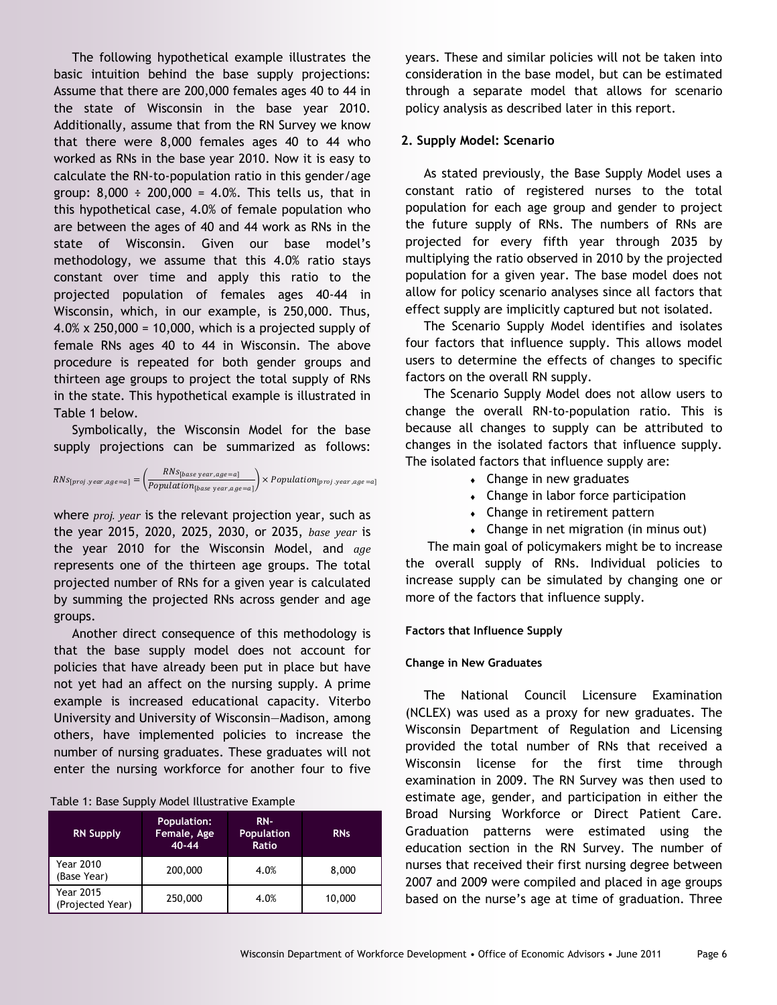The following hypothetical example illustrates the basic intuition behind the base supply projections: Assume that there are 200,000 females ages 40 to 44 in the state of Wisconsin in the base year 2010. Additionally, assume that from the RN Survey we know that there were 8,000 females ages 40 to 44 who worked as RNs in the base year 2010. Now it is easy to calculate the RN-to-population ratio in this gender/age group:  $8,000 \div 200,000 = 4.0\%$ . This tells us, that in this hypothetical case, 4.0% of female population who are between the ages of 40 and 44 work as RNs in the state of Wisconsin. Given our base model's methodology, we assume that this 4.0% ratio stays constant over time and apply this ratio to the projected population of females ages 40-44 in Wisconsin, which, in our example, is 250,000. Thus, 4.0% x 250,000 = 10,000, which is a projected supply of female RNs ages 40 to 44 in Wisconsin. The above procedure is repeated for both gender groups and thirteen age groups to project the total supply of RNs in the state. This hypothetical example is illustrated in Table 1 below.

Symbolically, the Wisconsin Model for the base supply projections can be summarized as follows:

$$
RNs_{[proj.year,age=a]} = \left(\frac{RNs_{[base\ year,age=a]}}{Population_{[base\ year,age=a]}}\right) \times Population_{[proj.year,age=a]}
$$

where *proj. year* is the relevant projection year, such as the year 2015, 2020, 2025, 2030, or 2035, *base year* is the year 2010 for the Wisconsin Model, and *age* represents one of the thirteen age groups. The total projected number of RNs for a given year is calculated by summing the projected RNs across gender and age groups.

Another direct consequence of this methodology is that the base supply model does not account for policies that have already been put in place but have not yet had an affect on the nursing supply. A prime example is increased educational capacity. Viterbo University and University of Wisconsin—Madison, among others, have implemented policies to increase the number of nursing graduates. These graduates will not enter the nursing workforce for another four to five

|  |  |  |  | Table 1: Base Supply Model Illustrative Example |  |
|--|--|--|--|-------------------------------------------------|--|
|--|--|--|--|-------------------------------------------------|--|

| <b>RN Supply</b>                     | <b>Population:</b><br>Female, Age<br>$40 - 44$ | $RN-$<br><b>Population</b><br>Ratio | <b>RNs</b> |  |
|--------------------------------------|------------------------------------------------|-------------------------------------|------------|--|
| <b>Year 2010</b><br>(Base Year)      | 200,000                                        | 4.0%                                | 8,000      |  |
| <b>Year 2015</b><br>(Projected Year) | 250,000                                        | 4.0%                                | 10,000     |  |

years. These and similar policies will not be taken into consideration in the base model, but can be estimated through a separate model that allows for scenario policy analysis as described later in this report.

#### **2. Supply Model: Scenario**

As stated previously, the Base Supply Model uses a constant ratio of registered nurses to the total population for each age group and gender to project the future supply of RNs. The numbers of RNs are projected for every fifth year through 2035 by multiplying the ratio observed in 2010 by the projected population for a given year. The base model does not allow for policy scenario analyses since all factors that effect supply are implicitly captured but not isolated.

The Scenario Supply Model identifies and isolates four factors that influence supply. This allows model users to determine the effects of changes to specific factors on the overall RN supply.

The Scenario Supply Model does not allow users to change the overall RN-to-population ratio. This is because all changes to supply can be attributed to changes in the isolated factors that influence supply. The isolated factors that influence supply are:

- Change in new graduates
- Change in labor force participation
- Change in retirement pattern
- Change in net migration (in minus out)

The main goal of policymakers might be to increase the overall supply of RNs. Individual policies to increase supply can be simulated by changing one or more of the factors that influence supply.

#### **Factors that Influence Supply**

#### **Change in New Graduates**

The National Council Licensure Examination (NCLEX) was used as a proxy for new graduates. The Wisconsin Department of Regulation and Licensing provided the total number of RNs that received a Wisconsin license for the first time through examination in 2009. The RN Survey was then used to estimate age, gender, and participation in either the Broad Nursing Workforce or Direct Patient Care. Graduation patterns were estimated using the education section in the RN Survey. The number of nurses that received their first nursing degree between 2007 and 2009 were compiled and placed in age groups based on the nurse's age at time of graduation. Three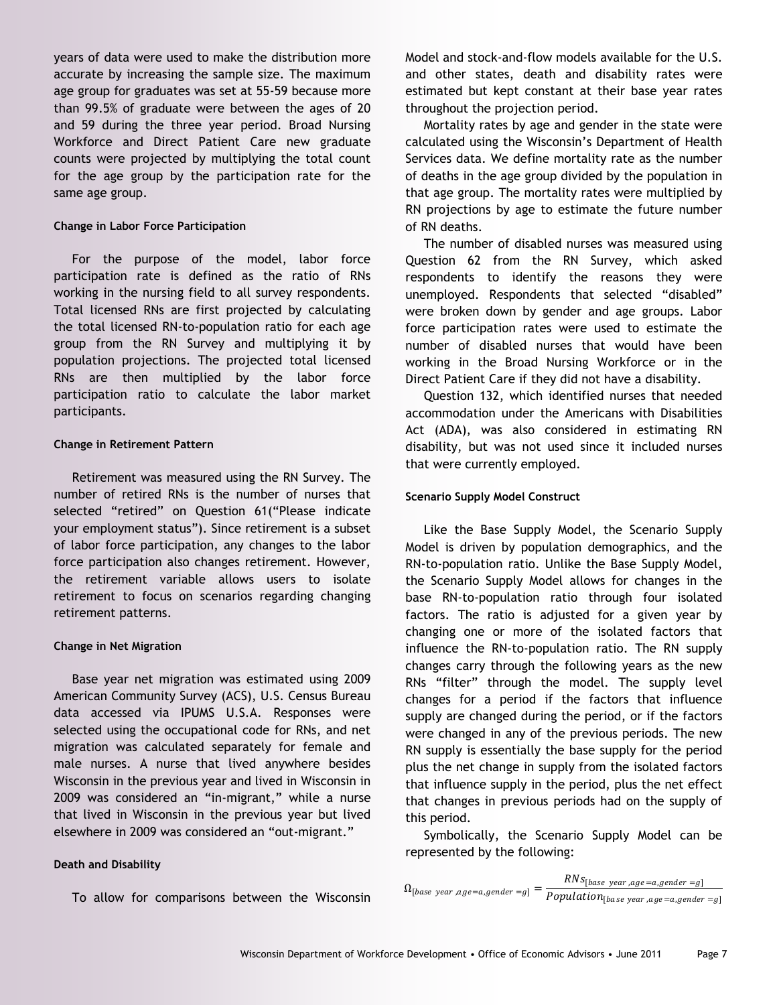years of data were used to make the distribution more accurate by increasing the sample size. The maximum age group for graduates was set at 55-59 because more than 99.5% of graduate were between the ages of 20 and 59 during the three year period. Broad Nursing Workforce and Direct Patient Care new graduate counts were projected by multiplying the total count for the age group by the participation rate for the same age group.

#### **Change in Labor Force Participation**

For the purpose of the model, labor force participation rate is defined as the ratio of RNs working in the nursing field to all survey respondents. Total licensed RNs are first projected by calculating the total licensed RN-to-population ratio for each age group from the RN Survey and multiplying it by population projections. The projected total licensed RNs are then multiplied by the labor force participation ratio to calculate the labor market participants.

#### **Change in Retirement Pattern**

Retirement was measured using the RN Survey. The number of retired RNs is the number of nurses that selected "retired" on Question 61("Please indicate your employment status"). Since retirement is a subset of labor force participation, any changes to the labor force participation also changes retirement. However, the retirement variable allows users to isolate retirement to focus on scenarios regarding changing retirement patterns.

#### **Change in Net Migration**

Base year net migration was estimated using 2009 American Community Survey (ACS), U.S. Census Bureau data accessed via IPUMS U.S.A. Responses were selected using the occupational code for RNs, and net migration was calculated separately for female and male nurses. A nurse that lived anywhere besides Wisconsin in the previous year and lived in Wisconsin in 2009 was considered an "in-migrant," while a nurse that lived in Wisconsin in the previous year but lived elsewhere in 2009 was considered an "out-migrant."

#### **Death and Disability**

To allow for comparisons between the Wisconsin

Model and stock-and-flow models available for the U.S. and other states, death and disability rates were estimated but kept constant at their base year rates throughout the projection period.

Mortality rates by age and gender in the state were calculated using the Wisconsin's Department of Health Services data. We define mortality rate as the number of deaths in the age group divided by the population in that age group. The mortality rates were multiplied by RN projections by age to estimate the future number of RN deaths.

The number of disabled nurses was measured using Question 62 from the RN Survey, which asked respondents to identify the reasons they were unemployed. Respondents that selected "disabled" were broken down by gender and age groups. Labor force participation rates were used to estimate the number of disabled nurses that would have been working in the Broad Nursing Workforce or in the Direct Patient Care if they did not have a disability.

Question 132, which identified nurses that needed accommodation under the Americans with Disabilities Act (ADA), was also considered in estimating RN disability, but was not used since it included nurses that were currently employed.

#### **Scenario Supply Model Construct**

Like the Base Supply Model, the Scenario Supply Model is driven by population demographics, and the RN-to-population ratio. Unlike the Base Supply Model, the Scenario Supply Model allows for changes in the base RN-to-population ratio through four isolated factors. The ratio is adjusted for a given year by changing one or more of the isolated factors that influence the RN-to-population ratio. The RN supply changes carry through the following years as the new RNs "filter" through the model. The supply level changes for a period if the factors that influence supply are changed during the period, or if the factors were changed in any of the previous periods. The new RN supply is essentially the base supply for the period plus the net change in supply from the isolated factors that influence supply in the period, plus the net effect that changes in previous periods had on the supply of this period.

Symbolically, the Scenario Supply Model can be represented by the following:

 $\Omega_{[\text{base year}, \text{age}=a, \text{gender}=g]} = \frac{RNS_{[\text{base year}, \text{age}=a, \text{gender}=g]}}{P_{\text{conditional}}}$  $Population_{[base\ year\ ,age=a,gender=g]}$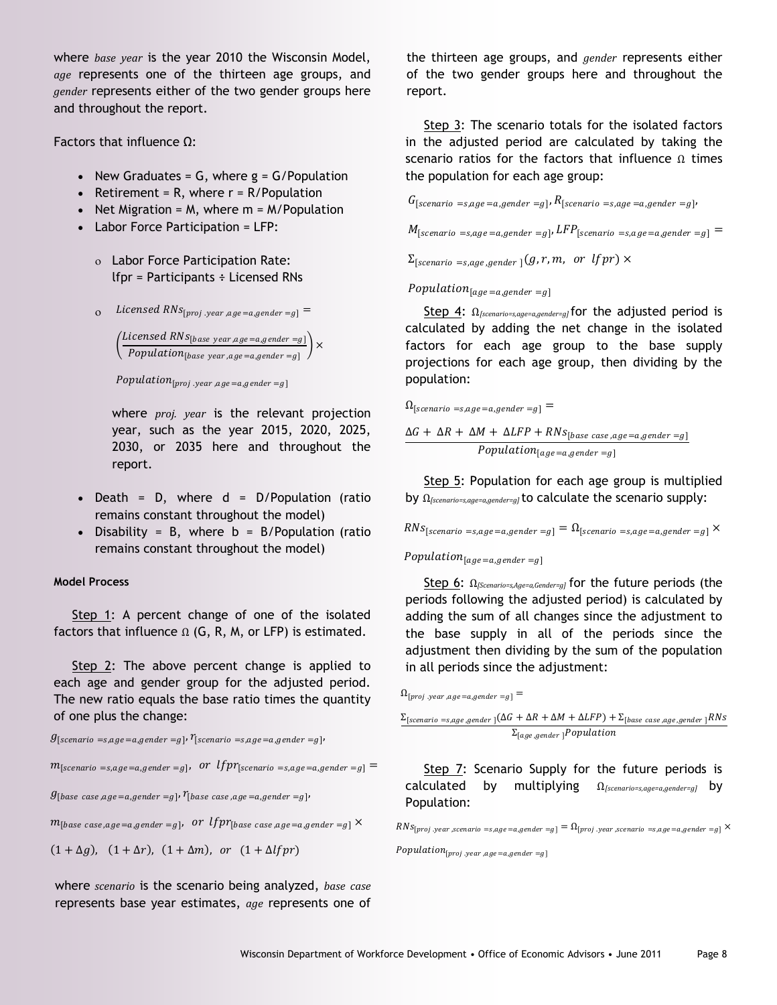where *base year* is the year 2010 the Wisconsin Model, *age* represents one of the thirteen age groups, and *gender* represents either of the two gender groups here and throughout the report.

Factors that influence Ω:

- New Graduates =  $G$ , where  $g = G/P$ opulation
- Retirement = R, where  $r = R/P$ opulation
- Net Migration =  $M$ , where  $m = M/P$ opulation
- Labor Force Participation = LFP:
	- Labor Force Participation Rate: lfpr = Participants ÷ Licensed RNs
	- $\sum_{i=1}^{n}$  Licensed RNs<sub>[proj .year</sub>, age=a,gender =g] =

 $\int$ Licensed RNS<sub>[base year,age=a,gender =g]</sub>  $\frac{F_{\text{phase}}}{\text{Population}_{[\text{base year}, \text{age} = a, \text{gender} = g]}}$   $\times$ 

 $Population_{[proj.year, age=a, gender=g]}$ 

where *proj. year* is the relevant projection year, such as the year 2015, 2020, 2025, 2030, or 2035 here and throughout the report.

- Death = D, where  $d = D/Population$  (ratio remains constant throughout the model)
- Disability = B, where  $b = B/P$ opulation (ratio remains constant throughout the model)

#### **Model Process**

Step 1: A percent change of one of the isolated factors that influence  $\Omega$  (G, R, M, or LFP) is estimated.

Step 2: The above percent change is applied to each age and gender group for the adjusted period. The new ratio equals the base ratio times the quantity of one plus the change:

 $g_{[scenario = s, age = a, gender = g]}$ ,  $r_{[scenario = s, age = a, gender = g]}$ 

 $m_{[scenario = s, age = a, gender = g]}$ , or  $lfpr_{[scenario = s, age = a, gender = g]}$ 

 $g_{\lceil \textit{base case}, \textit{age} = a, \textit{gender} = g \rceil}$ ,  $r_{\lceil \textit{base case}, \textit{age} = a, \textit{gender} = g \rceil}$ ,

 $m_{\left\lceil\textit{base case},\textit{age}=a, \textit{gender}=g\right\rceil}$ , or  $lfpr_{\left\lceil\textit{base case},\textit{age}=a, \textit{gender}=g\right\rceil}\times$ 

 $(1 + \Delta g)$ ,  $(1 + \Delta r)$ ,  $(1 + \Delta m)$ , or  $(1 + \Delta l f)$ 

where *scenario* is the scenario being analyzed, *base case* represents base year estimates, *age* represents one of the thirteen age groups, and *gender* represents either of the two gender groups here and throughout the report.

Step 3: The scenario totals for the isolated factors in the adjusted period are calculated by taking the scenario ratios for the factors that influence Ω times the population for each age group:

 $G_{[scenario = s, age = a, gender = g]}$ ,  $R_{[scenario = s, age = a, gender = g]}$ ,

 $M_{[scenario = s, age = a, gender = g]}$ ,  $LFP_{[scenario = s, age = a, gender = g]}$ 

 $\Sigma_{\text{Iscenario }=s\text{,age,gender}}$  (*g, r, m, or lfpr*)  $\times$ 

 $Population_{[age=a,gender=g]}$ 

Step 4: Ω*[scenario=s,age=a,gender=g]* for the adjusted period is calculated by adding the net change in the isolated factors for each age group to the base supply projections for each age group, then dividing by the population:

 $\Omega_{[scenario = s, age = a, gender = g]}$ 

 $\Delta G + \Delta R + \Delta M + \Delta LFP + RNs_{[base \ case, age=a, gender=g]}$  $Population_{[a, qe]=a, qender]=q}$ 

Step 5: Population for each age group is multiplied by Ω*[scenario=s,age=a,gender=g]* to calculate the scenario supply:

 $RNS_{[scenario \; =s, age=a, gender=g]} = \Omega_{[scenario \; =s, age=a, gender=g]} \times$ 

#### Population<sub>[age=a,gender=g]</sub>

Step 6: Ω*[Scenario=s,Age=a,Gender=g]* for the future periods (the periods following the adjusted period) is calculated by adding the sum of all changes since the adjustment to the base supply in all of the periods since the adjustment then dividing by the sum of the population in all periods since the adjustment:

 $\Omega_{[proj.year, age=a, gender=g]}$  =

 $\Sigma_{\text{[scenario =} s, age, gender]} (\Delta G + \Delta R + \Delta M + \Delta LFP) + \Sigma_{\text{[base case}, age, gender]} RNs$  $\Sigma_{[age,gender]}$ Population

Step 7: Scenario Supply for the future periods is calculated by multiplying Ω*[scenario=s,age=a,gender=g]* by Population:

 $RNS_{[proj. year, scenario = s, age = a, gender = g]} = \Omega_{[proj. year, scenario = s, age = a, gender = g]} \times$ 

 $Population_{[proj.year,age=a,gender=g]}$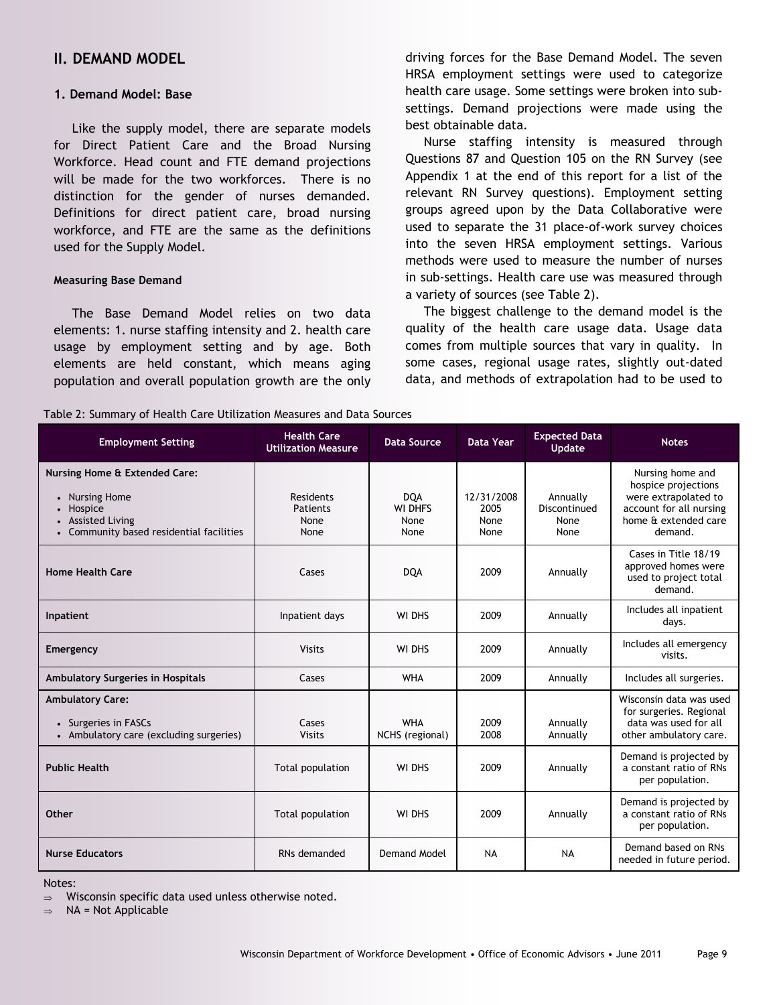### **II. DEMAND MODEL**

#### **1. Demand Model: Base**

Like the supply model, there are separate models for Direct Patient Care and the Broad Nursing Workforce. Head count and FTE demand projections will be made for the two workforces. There is no distinction for the gender of nurses demanded. Definitions for direct patient care, broad nursing workforce, and FTE are the same as the definitions used for the Supply Model.

#### **Measuring Base Demand**

The Base Demand Model relies on two data elements: 1. nurse staffing intensity and 2. health care usage by employment setting and by age. Both elements are held constant, which means aging population and overall population growth are the only driving forces for the Base Demand Model. The seven HRSA employment settings were used to categorize health care usage. Some settings were broken into subsettings. Demand projections were made using the best obtainable data.

Nurse staffing intensity is measured through Questions 87 and Question 105 on the RN Survey (see Appendix 1 at the end of this report for a list of the relevant RN Survey questions). Employment setting groups agreed upon by the Data Collaborative were used to separate the 31 place-of-work survey choices into the seven HRSA employment settings. Various methods were used to measure the number of nurses in sub-settings. Health care use was measured through a variety of sources (see Table 2).

The biggest challenge to the demand model is the quality of the health care usage data. Usage data comes from multiple sources that vary in quality. In some cases, regional usage rates, slightly out-dated data, and methods of extrapolation had to be used to

#### Table 2: Summary of Health Care Utilization Measures and Data Sources

| <b>Employment Setting</b>                                                                                                                | <b>Health Care</b><br><b>Utilization Measure</b> | <b>Data Source</b>                           | <b>Data Year</b>                   | <b>Expected Data</b><br><b>Update</b>    | <b>Notes</b>                                                                                                                  |
|------------------------------------------------------------------------------------------------------------------------------------------|--------------------------------------------------|----------------------------------------------|------------------------------------|------------------------------------------|-------------------------------------------------------------------------------------------------------------------------------|
| <b>Nursing Home &amp; Extended Care:</b><br>• Nursing Home<br>• Hospice<br>• Assisted Living<br>• Community based residential facilities | Residents<br>Patients<br>None<br>None            | <b>DQA</b><br><b>WI DHFS</b><br>None<br>None | 12/31/2008<br>2005<br>None<br>None | Annually<br>Discontinued<br>None<br>None | Nursing home and<br>hospice projections<br>were extrapolated to<br>account for all nursing<br>home & extended care<br>demand. |
| <b>Home Health Care</b>                                                                                                                  | Cases                                            | <b>DQA</b>                                   | 2009                               | Annually                                 | Cases in Title 18/19<br>approved homes were<br>used to project total<br>demand.                                               |
| Inpatient                                                                                                                                | Inpatient days                                   | WI DHS                                       | 2009                               | Annually                                 | Includes all inpatient<br>days.                                                                                               |
| Emergency                                                                                                                                | <b>Visits</b>                                    | WI DHS                                       | 2009                               | Annually                                 | Includes all emergency<br>visits.                                                                                             |
| Ambulatory Surgeries in Hospitals                                                                                                        | Cases                                            | <b>WHA</b>                                   | 2009                               | Annually                                 | Includes all surgeries.                                                                                                       |
| <b>Ambulatory Care:</b><br>• Surgeries in FASCs<br>• Ambulatory care (excluding surgeries)                                               | Cases<br><b>Visits</b>                           | <b>WHA</b><br>NCHS (regional)                | 2009<br>2008                       | Annually<br>Annually                     | Wisconsin data was used<br>for surgeries. Regional<br>data was used for all<br>other ambulatory care.                         |
| <b>Public Health</b>                                                                                                                     | Total population                                 | WI DHS                                       | 2009                               | Annually                                 | Demand is projected by<br>a constant ratio of RNs<br>per population.                                                          |
| <b>Other</b>                                                                                                                             | Total population                                 | WI DHS                                       | 2009                               | Annually                                 | Demand is projected by<br>a constant ratio of RNs<br>per population.                                                          |
| <b>Nurse Educators</b>                                                                                                                   | RNs demanded                                     | <b>Demand Model</b>                          | <b>NA</b>                          | <b>NA</b>                                | Demand based on RNs<br>needed in future period.                                                                               |

Notes:

 $\Rightarrow$  Wisconsin specific data used unless otherwise noted.

 $\Rightarrow$  NA = Not Applicable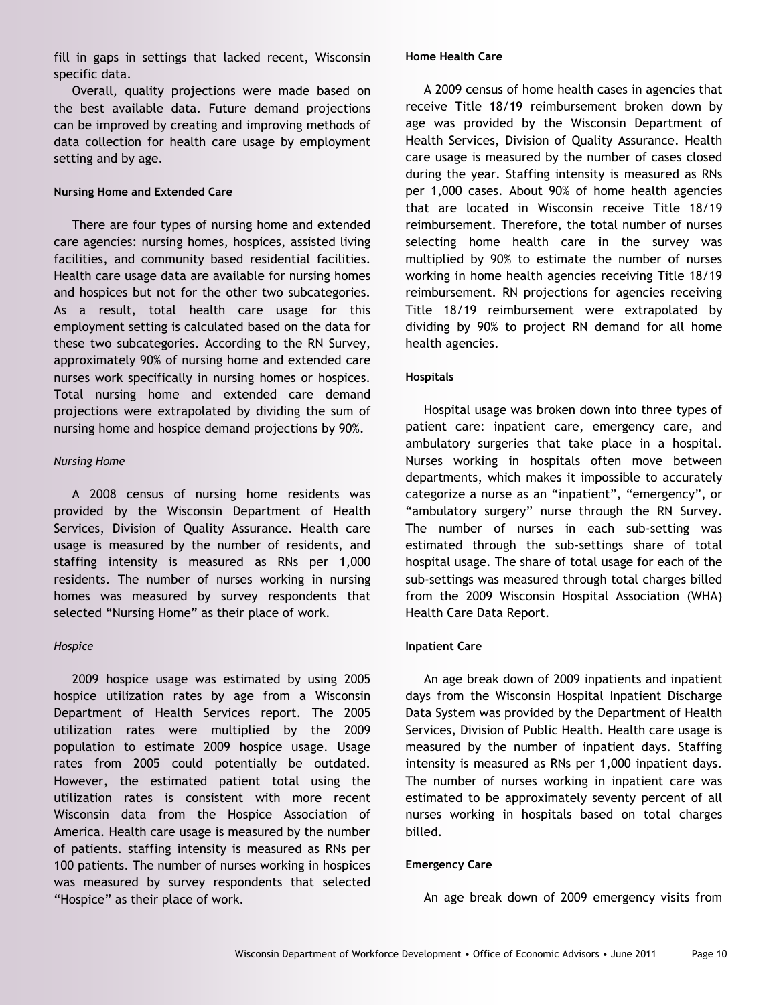fill in gaps in settings that lacked recent, Wisconsin specific data.

Overall, quality projections were made based on the best available data. Future demand projections can be improved by creating and improving methods of data collection for health care usage by employment setting and by age.

#### **Nursing Home and Extended Care**

There are four types of nursing home and extended care agencies: nursing homes, hospices, assisted living facilities, and community based residential facilities. Health care usage data are available for nursing homes and hospices but not for the other two subcategories. As a result, total health care usage for this employment setting is calculated based on the data for these two subcategories. According to the RN Survey, approximately 90% of nursing home and extended care nurses work specifically in nursing homes or hospices. Total nursing home and extended care demand projections were extrapolated by dividing the sum of nursing home and hospice demand projections by 90%.

#### *Nursing Home*

A 2008 census of nursing home residents was provided by the Wisconsin Department of Health Services, Division of Quality Assurance. Health care usage is measured by the number of residents, and staffing intensity is measured as RNs per 1,000 residents. The number of nurses working in nursing homes was measured by survey respondents that selected "Nursing Home" as their place of work.

#### *Hospice*

2009 hospice usage was estimated by using 2005 hospice utilization rates by age from a Wisconsin Department of Health Services report. The 2005 utilization rates were multiplied by the 2009 population to estimate 2009 hospice usage. Usage rates from 2005 could potentially be outdated. However, the estimated patient total using the utilization rates is consistent with more recent Wisconsin data from the Hospice Association of America. Health care usage is measured by the number of patients. staffing intensity is measured as RNs per 100 patients. The number of nurses working in hospices was measured by survey respondents that selected "Hospice" as their place of work.

#### **Home Health Care**

A 2009 census of home health cases in agencies that receive Title 18/19 reimbursement broken down by age was provided by the Wisconsin Department of Health Services, Division of Quality Assurance. Health care usage is measured by the number of cases closed during the year. Staffing intensity is measured as RNs per 1,000 cases. About 90% of home health agencies that are located in Wisconsin receive Title 18/19 reimbursement. Therefore, the total number of nurses selecting home health care in the survey was multiplied by 90% to estimate the number of nurses working in home health agencies receiving Title 18/19 reimbursement. RN projections for agencies receiving Title 18/19 reimbursement were extrapolated by dividing by 90% to project RN demand for all home health agencies.

#### **Hospitals**

Hospital usage was broken down into three types of patient care: inpatient care, emergency care, and ambulatory surgeries that take place in a hospital. Nurses working in hospitals often move between departments, which makes it impossible to accurately categorize a nurse as an "inpatient", "emergency", or "ambulatory surgery" nurse through the RN Survey. The number of nurses in each sub-setting was estimated through the sub-settings share of total hospital usage. The share of total usage for each of the sub-settings was measured through total charges billed from the 2009 Wisconsin Hospital Association (WHA) Health Care Data Report.

#### **Inpatient Care**

An age break down of 2009 inpatients and inpatient days from the Wisconsin Hospital Inpatient Discharge Data System was provided by the Department of Health Services, Division of Public Health. Health care usage is measured by the number of inpatient days. Staffing intensity is measured as RNs per 1,000 inpatient days. The number of nurses working in inpatient care was estimated to be approximately seventy percent of all nurses working in hospitals based on total charges billed.

#### **Emergency Care**

An age break down of 2009 emergency visits from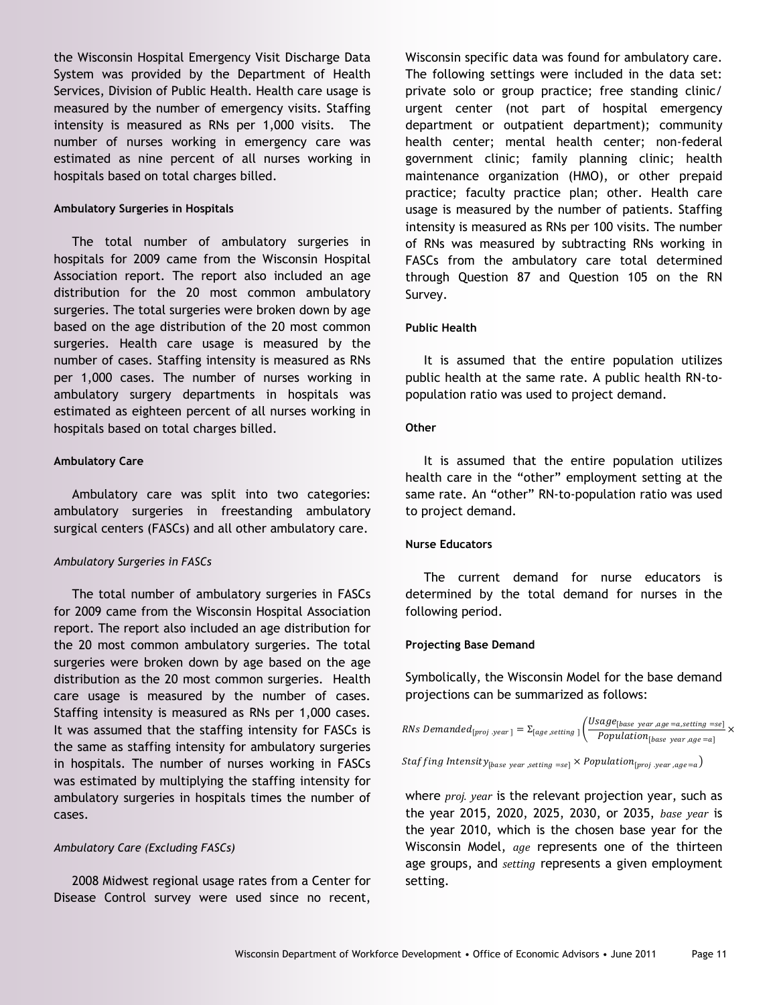the Wisconsin Hospital Emergency Visit Discharge Data System was provided by the Department of Health Services, Division of Public Health. Health care usage is measured by the number of emergency visits. Staffing intensity is measured as RNs per 1,000 visits. The number of nurses working in emergency care was estimated as nine percent of all nurses working in hospitals based on total charges billed.

#### **Ambulatory Surgeries in Hospitals**

The total number of ambulatory surgeries in hospitals for 2009 came from the Wisconsin Hospital Association report. The report also included an age distribution for the 20 most common ambulatory surgeries. The total surgeries were broken down by age based on the age distribution of the 20 most common surgeries. Health care usage is measured by the number of cases. Staffing intensity is measured as RNs per 1,000 cases. The number of nurses working in ambulatory surgery departments in hospitals was estimated as eighteen percent of all nurses working in hospitals based on total charges billed.

#### **Ambulatory Care**

Ambulatory care was split into two categories: ambulatory surgeries in freestanding ambulatory surgical centers (FASCs) and all other ambulatory care.

#### *Ambulatory Surgeries in FASCs*

The total number of ambulatory surgeries in FASCs for 2009 came from the Wisconsin Hospital Association report. The report also included an age distribution for the 20 most common ambulatory surgeries. The total surgeries were broken down by age based on the age distribution as the 20 most common surgeries. Health care usage is measured by the number of cases. Staffing intensity is measured as RNs per 1,000 cases. It was assumed that the staffing intensity for FASCs is the same as staffing intensity for ambulatory surgeries in hospitals. The number of nurses working in FASCs was estimated by multiplying the staffing intensity for ambulatory surgeries in hospitals times the number of cases.

#### *Ambulatory Care (Excluding FASCs)*

2008 Midwest regional usage rates from a Center for Disease Control survey were used since no recent,

Wisconsin specific data was found for ambulatory care. The following settings were included in the data set: private solo or group practice; free standing clinic/ urgent center (not part of hospital emergency department or outpatient department); community health center; mental health center; non-federal government clinic; family planning clinic; health maintenance organization (HMO), or other prepaid practice; faculty practice plan; other. Health care usage is measured by the number of patients. Staffing intensity is measured as RNs per 100 visits. The number of RNs was measured by subtracting RNs working in FASCs from the ambulatory care total determined through Question 87 and Question 105 on the RN Survey.

#### **Public Health**

It is assumed that the entire population utilizes public health at the same rate. A public health RN-topopulation ratio was used to project demand.

#### **Other**

It is assumed that the entire population utilizes health care in the "other" employment setting at the same rate. An "other" RN-to-population ratio was used to project demand.

#### **Nurse Educators**

The current demand for nurse educators is determined by the total demand for nurses in the following period.

#### **Projecting Base Demand**

Symbolically, the Wisconsin Model for the base demand projections can be summarized as follows:

*RNs Demanded*<sub>[proj</sub> *year*] = 
$$
\Sigma_{[age, setting]}
$$
  $\left(\frac{Usage_{[base \space year, age = a, setting = se]}}{Population_{[base \space year, age = a]}} \times$ 

*Staffing Intensity*<sub>[base year,setting =se]  $\times$  Population<sub>[proj</sub>, year,age=a]</sub>

where *proj. year* is the relevant projection year, such as the year 2015, 2020, 2025, 2030, or 2035, *base year* is the year 2010, which is the chosen base year for the Wisconsin Model, *age* represents one of the thirteen age groups, and *setting* represents a given employment setting.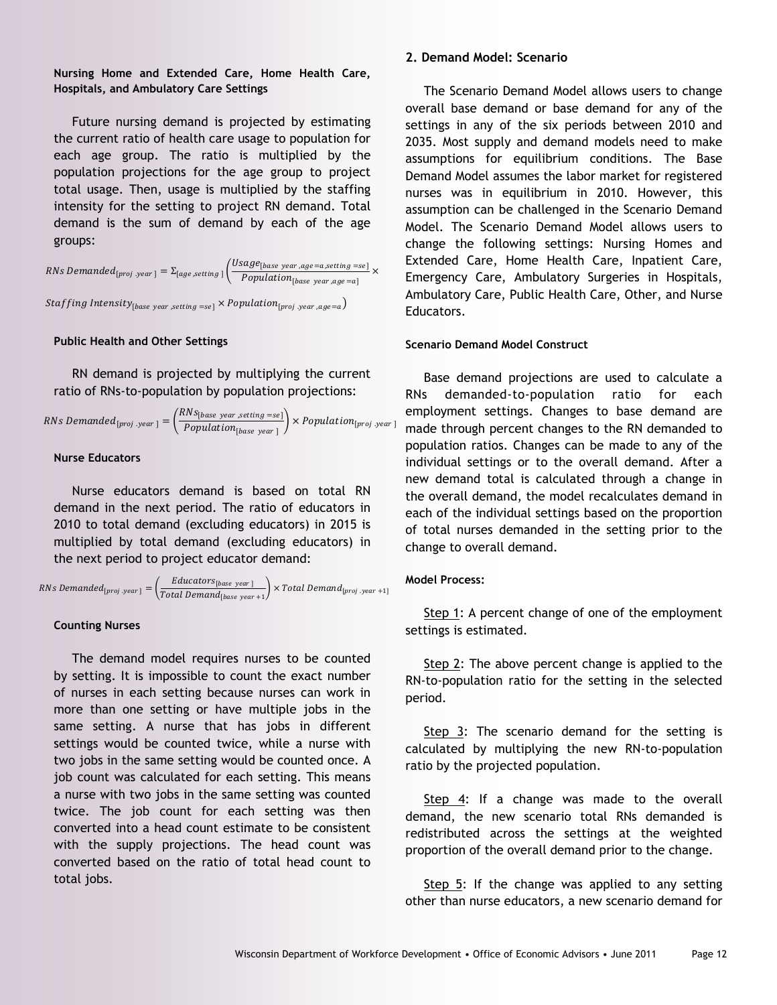**Nursing Home and Extended Care, Home Health Care, Hospitals, and Ambulatory Care Settings**

Future nursing demand is projected by estimating the current ratio of health care usage to population for each age group. The ratio is multiplied by the population projections for the age group to project total usage. Then, usage is multiplied by the staffing intensity for the setting to project RN demand. Total demand is the sum of demand by each of the age groups:

RNs Demanded<sub>[proj.year]</sub> =  $\Sigma_{[age, setting]}$   $\left(\frac{Usage_{[base\;yaer,age=a, setting=se]}}{Domain} \right)$  $\frac{1}{1} \times \frac{1}{2}$  Population<sub>[base year,age = a]</sub>

 $\textit{Staffing Intensity}_{[base\ year\, setting\ = se]} \times \textit{Population}_{[proj\ \textit{year}, age=a)}$ 

#### **Public Health and Other Settings**

RN demand is projected by multiplying the current ratio of RNs-to-population by population projections:

*RNs Demanded*<sub>[proj.year]</sub> = 
$$
\left(\frac{RNs_{[base\ year,setting = se]}}{Population_{[base\ year]}}\right) \times Population_{[proj.year]}
$$

#### **Nurse Educators**

Nurse educators demand is based on total RN demand in the next period. The ratio of educators in 2010 to total demand (excluding educators) in 2015 is multiplied by total demand (excluding educators) in the next period to project educator demand:

RNs Demanded<sub>[proj year]</sub> = 
$$
\left(\frac{Educators_{[base year]}}{Total Demand_{[base year+1]}}\right) \times Total Demand_{[proj year+1]}
$$

#### **Counting Nurses**

The demand model requires nurses to be counted by setting. It is impossible to count the exact number of nurses in each setting because nurses can work in more than one setting or have multiple jobs in the same setting. A nurse that has jobs in different settings would be counted twice, while a nurse with two jobs in the same setting would be counted once. A job count was calculated for each setting. This means a nurse with two jobs in the same setting was counted twice. The job count for each setting was then converted into a head count estimate to be consistent with the supply projections. The head count was converted based on the ratio of total head count to total jobs.

#### **2. Demand Model: Scenario**

The Scenario Demand Model allows users to change overall base demand or base demand for any of the settings in any of the six periods between 2010 and 2035. Most supply and demand models need to make assumptions for equilibrium conditions. The Base Demand Model assumes the labor market for registered nurses was in equilibrium in 2010. However, this assumption can be challenged in the Scenario Demand Model. The Scenario Demand Model allows users to change the following settings: Nursing Homes and Extended Care, Home Health Care, Inpatient Care, Emergency Care, Ambulatory Surgeries in Hospitals, Ambulatory Care, Public Health Care, Other, and Nurse Educators.

#### **Scenario Demand Model Construct**

Base demand projections are used to calculate a RNs demanded-to-population ratio for each employment settings. Changes to base demand are made through percent changes to the RN demanded to population ratios. Changes can be made to any of the individual settings or to the overall demand. After a new demand total is calculated through a change in the overall demand, the model recalculates demand in each of the individual settings based on the proportion of total nurses demanded in the setting prior to the change to overall demand.

#### **Model Process:**

Step 1: A percent change of one of the employment settings is estimated.

Step 2: The above percent change is applied to the RN-to-population ratio for the setting in the selected period.

Step 3: The scenario demand for the setting is calculated by multiplying the new RN-to-population ratio by the projected population.

Step 4: If a change was made to the overall demand, the new scenario total RNs demanded is redistributed across the settings at the weighted proportion of the overall demand prior to the change.

Step 5: If the change was applied to any setting other than nurse educators, a new scenario demand for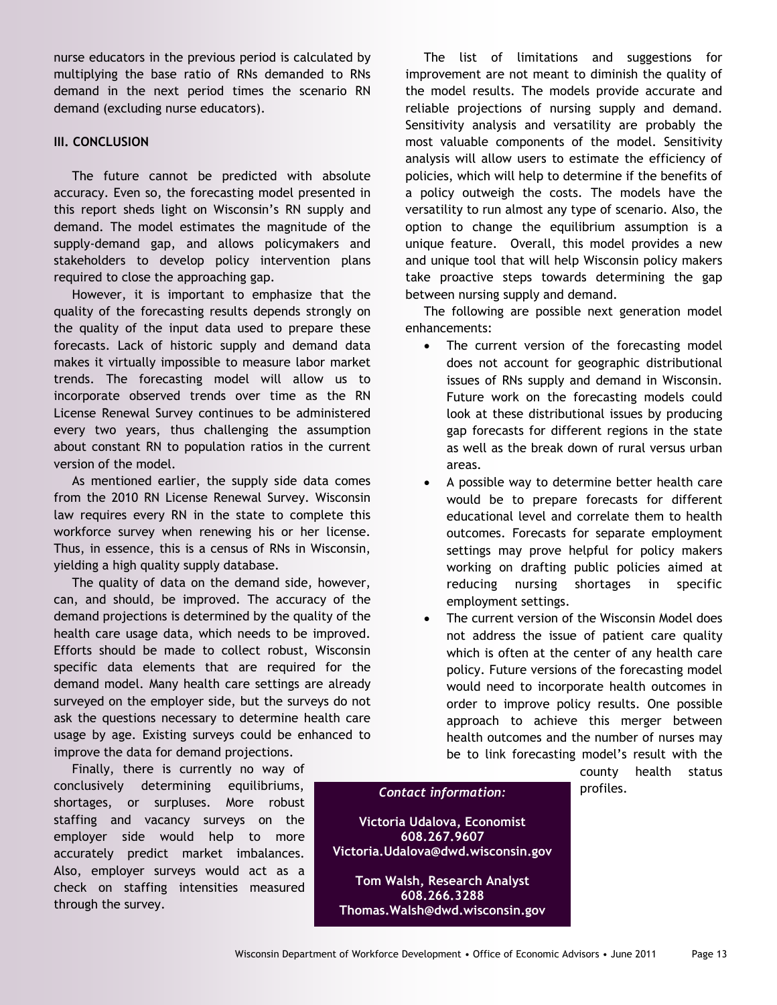nurse educators in the previous period is calculated by multiplying the base ratio of RNs demanded to RNs demand in the next period times the scenario RN demand (excluding nurse educators).

#### **III. CONCLUSION**

The future cannot be predicted with absolute accuracy. Even so, the forecasting model presented in this report sheds light on Wisconsin's RN supply and demand. The model estimates the magnitude of the supply-demand gap, and allows policymakers and stakeholders to develop policy intervention plans required to close the approaching gap.

However, it is important to emphasize that the quality of the forecasting results depends strongly on the quality of the input data used to prepare these forecasts. Lack of historic supply and demand data makes it virtually impossible to measure labor market trends. The forecasting model will allow us to incorporate observed trends over time as the RN License Renewal Survey continues to be administered every two years, thus challenging the assumption about constant RN to population ratios in the current version of the model.

As mentioned earlier, the supply side data comes from the 2010 RN License Renewal Survey. Wisconsin law requires every RN in the state to complete this workforce survey when renewing his or her license. Thus, in essence, this is a census of RNs in Wisconsin, yielding a high quality supply database.

The quality of data on the demand side, however, can, and should, be improved. The accuracy of the demand projections is determined by the quality of the health care usage data, which needs to be improved. Efforts should be made to collect robust, Wisconsin specific data elements that are required for the demand model. Many health care settings are already surveyed on the employer side, but the surveys do not ask the questions necessary to determine health care usage by age. Existing surveys could be enhanced to improve the data for demand projections.

Finally, there is currently no way of conclusively determining equilibriums, shortages, or surpluses. More robust staffing and vacancy surveys on the employer side would help to more accurately predict market imbalances. Also, employer surveys would act as a check on staffing intensities measured through the survey.

The list of limitations and suggestions for improvement are not meant to diminish the quality of the model results. The models provide accurate and reliable projections of nursing supply and demand. Sensitivity analysis and versatility are probably the most valuable components of the model. Sensitivity analysis will allow users to estimate the efficiency of policies, which will help to determine if the benefits of a policy outweigh the costs. The models have the versatility to run almost any type of scenario. Also, the option to change the equilibrium assumption is a unique feature. Overall, this model provides a new and unique tool that will help Wisconsin policy makers take proactive steps towards determining the gap between nursing supply and demand.

The following are possible next generation model enhancements:

- The current version of the forecasting model does not account for geographic distributional issues of RNs supply and demand in Wisconsin. Future work on the forecasting models could look at these distributional issues by producing gap forecasts for different regions in the state as well as the break down of rural versus urban areas.
- A possible way to determine better health care would be to prepare forecasts for different educational level and correlate them to health outcomes. Forecasts for separate employment settings may prove helpful for policy makers working on drafting public policies aimed at reducing nursing shortages in specific employment settings.
- The current version of the Wisconsin Model does not address the issue of patient care quality which is often at the center of any health care policy. Future versions of the forecasting model would need to incorporate health outcomes in order to improve policy results. One possible approach to achieve this merger between health outcomes and the number of nurses may be to link forecasting model's result with the

county health status

# profiles. *Contact information:*

**Victoria Udalova, Economist 608.267.9607 Victoria.Udalova@dwd.wisconsin.gov**

**Tom Walsh, Research Analyst 608.266.3288 Thomas.Walsh@dwd.wisconsin.gov**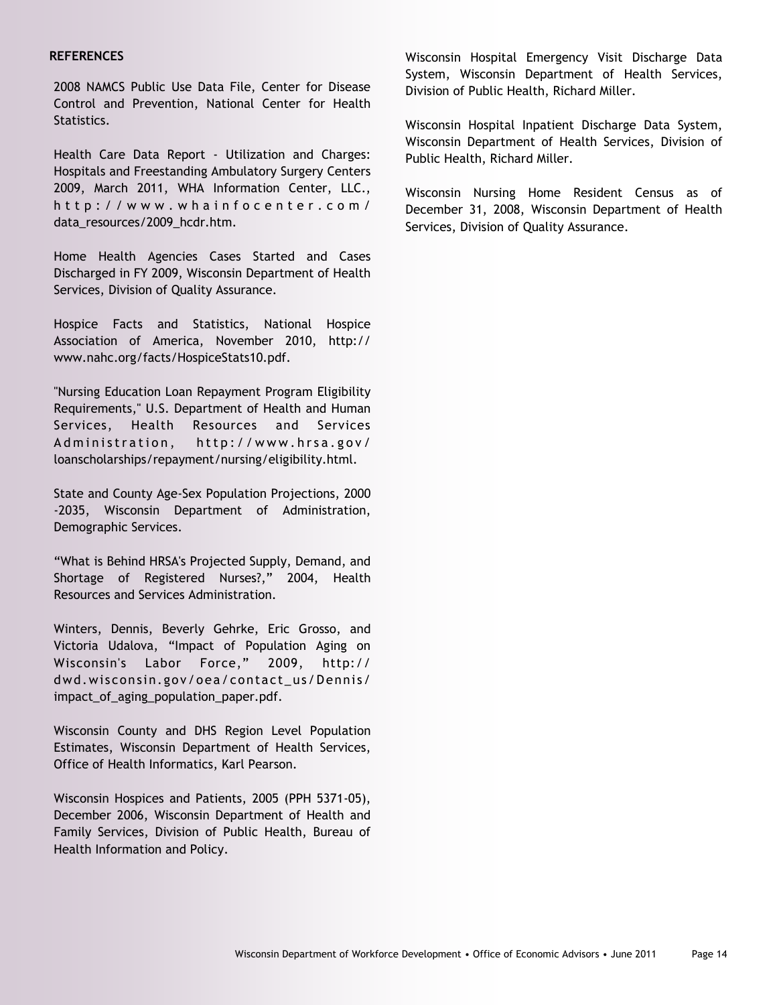#### **REFERENCES**

2008 NAMCS Public Use Data File, Center for Disease Control and Prevention, National Center for Health Statistics.

Health Care Data Report - Utilization and Charges: Hospitals and Freestanding Ambulatory Surgery Centers 2009, March 2011, WHA Information Center, LLC., http://www.whainfocenter.com/ data\_resources/2009\_hcdr.htm.

Home Health Agencies Cases Started and Cases Discharged in FY 2009, Wisconsin Department of Health Services, Division of Quality Assurance.

Hospice Facts and Statistics, National Hospice Association of America, November 2010, http:// www.nahc.org/facts/HospiceStats10.pdf.

"Nursing Education Loan Repayment Program Eligibility Requirements," U.S. Department of Health and Human Services, Health Resources and Services Administration, http://www.hrsa.gov/ loanscholarships/repayment/nursing/eligibility.html.

State and County Age-Sex Population Projections, 2000 -2035, Wisconsin Department of Administration, Demographic Services.

"What is Behind HRSA's Projected Supply, Demand, and Shortage of Registered Nurses?," 2004, Health Resources and Services Administration.

Winters, Dennis, Beverly Gehrke, Eric Grosso, and Victoria Udalova, "Impact of Population Aging on Wisconsin's Labor Force," 2009, http:// dwd.wisconsin.gov/oea/contact\_us/Dennis/ impact\_of\_aging\_population\_paper.pdf.

Wisconsin County and DHS Region Level Population Estimates, Wisconsin Department of Health Services, Office of Health Informatics, Karl Pearson.

Wisconsin Hospices and Patients, 2005 (PPH 5371-05), December 2006, Wisconsin Department of Health and Family Services, Division of Public Health, Bureau of Health Information and Policy.

Wisconsin Hospital Emergency Visit Discharge Data System, Wisconsin Department of Health Services, Division of Public Health, Richard Miller.

Wisconsin Hospital Inpatient Discharge Data System, Wisconsin Department of Health Services, Division of Public Health, Richard Miller.

Wisconsin Nursing Home Resident Census as of December 31, 2008, Wisconsin Department of Health Services, Division of Quality Assurance.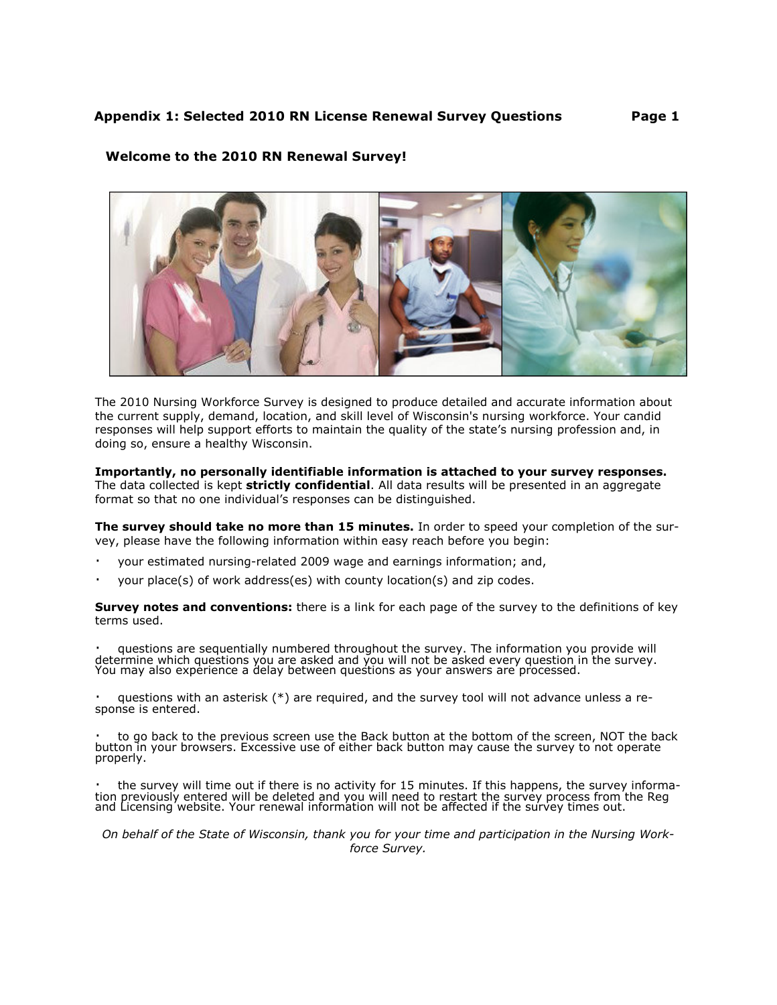### **Welcome to the 2010 RN Renewal Survey!**



The 2010 Nursing Workforce Survey is designed to produce detailed and accurate information about the current supply, demand, location, and skill level of Wisconsin's nursing workforce. Your candid responses will help support efforts to maintain the quality of the state's nursing profession and, in doing so, ensure a healthy Wisconsin.

#### Importantly, no personally identifiable information is attached to your survey responses.

The data collected is kept strictly confidential. All data results will be presented in an aggregate format so that no one individual's responses can be distinguished.

The survey should take no more than 15 minutes. In order to speed your completion of the survey, please have the following information within easy reach before you begin:

- your estimated nursing-related 2009 wage and earnings information; and,
- $\blacksquare$ your place(s) of work address(es) with county location(s) and zip codes.

Survey notes and conventions: there is a link for each page of the survey to the definitions of key terms used.

questions are sequentially numbered throughout the survey. The information you provide will determine which questions you are asked and you will not be asked every question in the survey. You may also experience a delay between questions as your answers are processed.

questions with an asterisk (\*) are required, and the survey tool will not advance unless a response is entered.

to go back to the previous screen use the Back button at the bottom of the screen, NOT the back button in your browsers. Excessive use of either back button may cause the survey to not operate properly.

the survey will time out if there is no activity for 15 minutes. If this happens, the survey information previously entered will be deleted and you will need to restart the survey process from the Reg and Licensing website

On behalf of the State of Wisconsin, thank you for your time and participation in the Nursing Workforce Survev.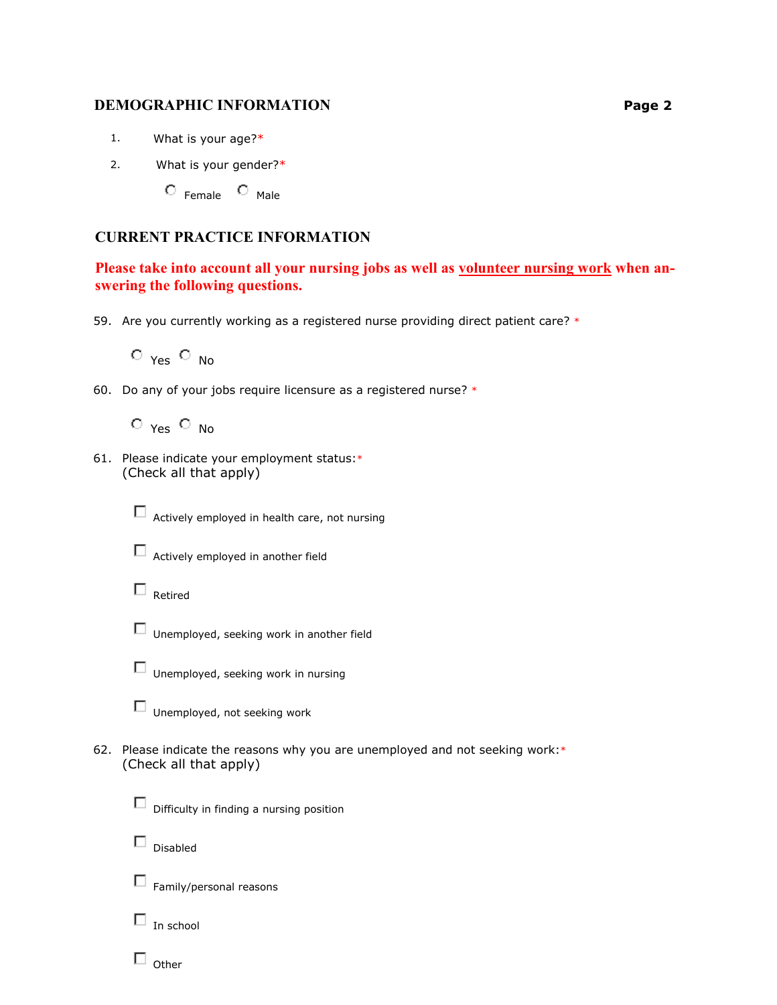### **DEMOGRAPHIC INFORMATION**

- $1.$ What is your age?\*
- What is your gender?\*  $2.$

 $\circ$  Female  $\circ$  Male

# **CURRENT PRACTICE INFORMATION**

Please take into account all your nursing jobs as well as volunteer nursing work when answering the following questions.

59. Are you currently working as a registered nurse providing direct patient care? \*

 $O_{Yes}$   $O_{NO}$ 

60. Do any of your jobs require licensure as a registered nurse? \*

 $O_{Yes}$   $O_{No}$ 

61. Please indicate your employment status:\* (Check all that apply)



Actively employed in health care, not nursing

 $\Box$  Actively employed in another field

- $\Box$  Retired
- $\Box$  Unemployed, seeking work in another field



Unemployed, seeking work in nursing

Unemployed, not seeking work

62. Please indicate the reasons why you are unemployed and not seeking work:\* (Check all that apply)



 $\Box$  Family/personal reasons

 $\square$  Disabled

 $\Box$  In school

 $\square$  Other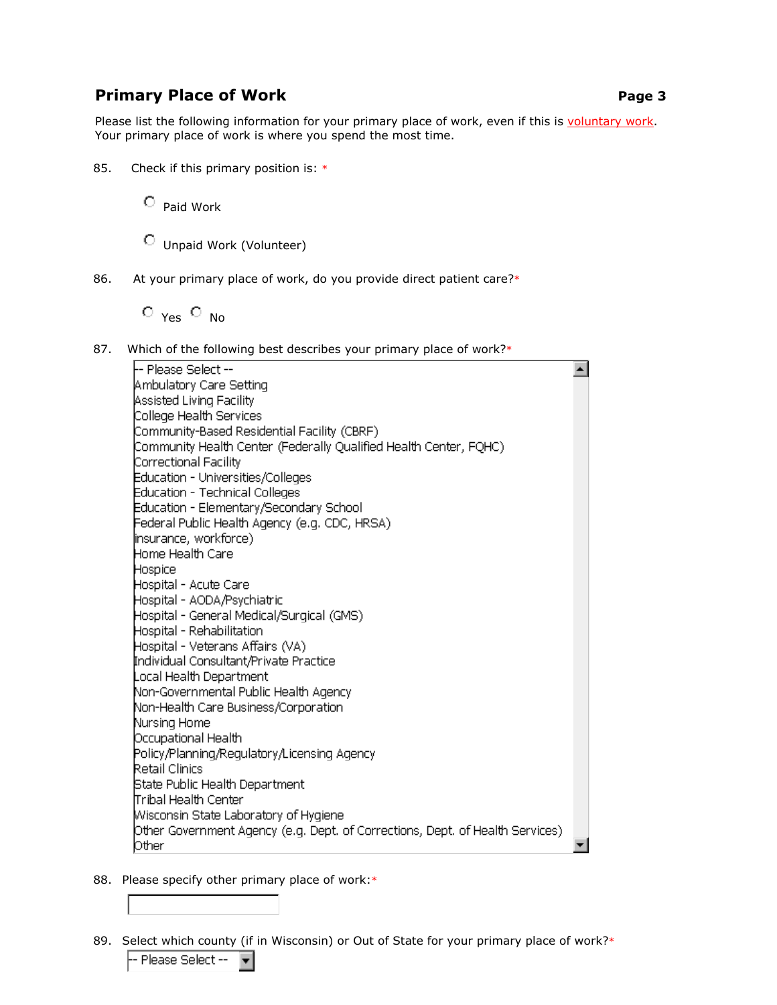# **Primary Place of Work**

Please list the following information for your primary place of work, even if this is voluntary work. Your primary place of work is where you spend the most time.

85. Check if this primary position is: \*

 $\circ$  Paid Work

C Unpaid Work (Volunteer)

86. At your primary place of work, do you provide direct patient care?\*

 $O_{Yes}$   $O_{No}$ 

87. Which of the following best describes your primary place of work?\*

-- Please Select -- $\blacktriangle$ Ambulatory Care Setting Assisted Living Facility College Health Services Community-Based Residential Facility (CBRF) Community Health Center (Federally Qualified Health Center, FQHC) Correctional Facility Education - Universities/Colleges Education - Technical Colleges Education - Elementary/Secondary School Federal Public Health Agency (e.g. CDC, HRSA). linsurance, workforce). Home Health Care Hospice Hospital - Acute Care Hospital - AODA/Psychiatric Hospital - General Medical/Surgical (GMS) Hospital - Rehabilitation Hospital - Veterans Affairs (VA) Individual Consultant/Private Practice Local Health Department Non-Governmental Public Health Agency Non-Health Care Business/Corporation Nursing Home Occupational Health Policy/Planning/Regulatory/Licensing Agency Retail Clinics State Public Health Department Tribal Health Center Misconsin State Laboratory of Hygiene Other Government Agency (e.g. Dept. of Corrections, Dept. of Health Services). Other  $\blacksquare$ 

- 88. Please specify other primary place of work:\*
- 89. Select which county (if in Wisconsin) or Out of State for your primary place of work?\*

-- Please Select --